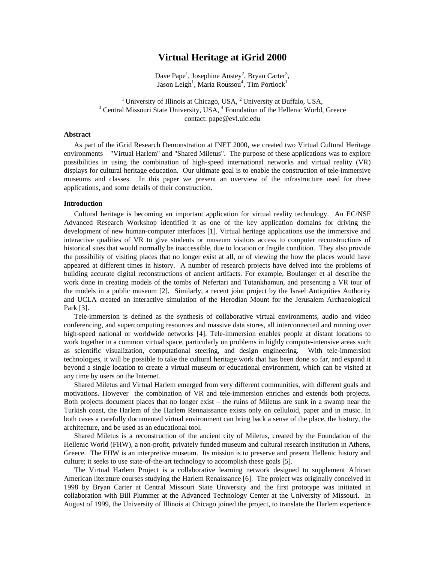# **Virtual Heritage at iGrid 2000**

Dave Pape<sup>1</sup>, Josephine Anstey<sup>2</sup>, Bryan Carter<sup>3</sup>, Jason Leigh<sup>1</sup>, Maria Roussou<sup>4</sup>, Tim Portlock<sup>1</sup>

<sup>1</sup> University of Illinois at Chicago, USA,  ${}^{2}$  University at Buffalo, USA, <sup>3</sup> Central Missouri State University, USA, <sup>4</sup> Foundation of the Hellenic World, Greece contact: pape@evl.uic.edu

#### **Abstract**

As part of the iGrid Research Demonstration at INET 2000, we created two Virtual Cultural Heritage environments – "Virtual Harlem" and "Shared Miletus". The purpose of these applications was to explore possibilities in using the combination of high-speed international networks and virtual reality (VR) displays for cultural heritage education. Our ultimate goal is to enable the construction of tele-immersive museums and classes. In this paper we present an overview of the infrastructure used for these applications, and some details of their construction.

# **Introduction**

Cultural heritage is becoming an important application for virtual reality technology. An EC/NSF Advanced Research Workshop identified it as one of the key application domains for driving the development of new human-computer interfaces [1]. Virtual heritage applications use the immersive and interactive qualities of VR to give students or museum visitors access to computer reconstructions of historical sites that would normally be inaccessible, due to location or fragile condition. They also provide the possibility of visiting places that no longer exist at all, or of viewing the how the places would have appeared at different times in history. A number of research projects have delved into the problems of building accurate digital reconstructions of ancient artifacts. For example, Boulanger et al describe the work done in creating models of the tombs of Nefertari and Tutankhamun, and presenting a VR tour of the models in a public museum [2]. Similarly, a recent joint project by the Israel Antiquities Authority and UCLA created an interactive simulation of the Herodian Mount for the Jerusalem Archaeological Park [3].

Tele-immersion is defined as the synthesis of collaborative virtual environments, audio and video conferencing, and supercomputing resources and massive data stores, all interconnected and running over high-speed national or worldwide networks [4]. Tele-immersion enables people at distant locations to work together in a common virtual space, particularly on problems in highly compute-intensive areas such as scientific visualization, computational steering, and design engineering. With tele-immersion technologies, it will be possible to take the cultural heritage work that has been done so far, and expand it beyond a single location to create a virtual museum or educational environment, which can be visited at any time by users on the Internet.

Shared Miletus and Virtual Harlem emerged from very different communities, with different goals and motivations. However the combination of VR and tele-immersion enriches and extends both projects. Both projects document places that no longer exist – the ruins of Miletus are sunk in a swamp near the Turkish coast, the Harlem of the Harlem Rennaissance exists only on celluloid, paper and in music. In both cases a carefully documented virtual environment can bring back a sense of the place, the history, the architecture, and be used as an educational tool.

Shared Miletus is a reconstruction of the ancient city of Miletus, created by the Foundation of the Hellenic World (FHW), a non-profit, privately funded museum and cultural research institution in Athens, Greece. The FHW is an interpretive museum. Its mission is to preserve and present Hellenic history and culture; it seeks to use state-of-the-art technology to accomplish these goals [5].

The Virtual Harlem Project is a collaborative learning network designed to supplement African American literature courses studying the Harlem Renaissance [6]. The project was originally conceived in 1998 by Bryan Carter at Central Missouri State University and the first prototype was initiated in collaboration with Bill Plummer at the Advanced Technology Center at the University of Missouri. In August of 1999, the University of Illinois at Chicago joined the project, to translate the Harlem experience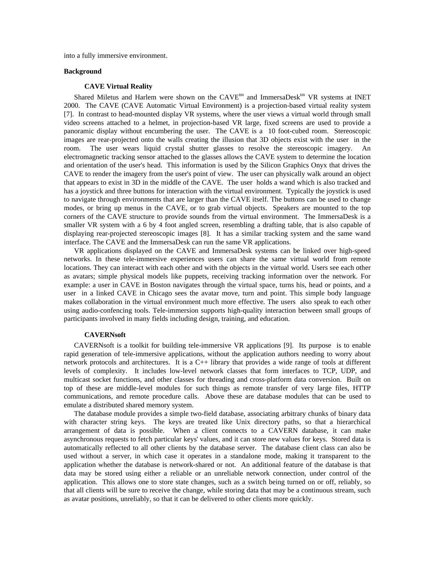into a fully immersive environment.

# **Background**

# **CAVE Virtual Reality**

Shared Miletus and Harlem were shown on the  $CAVE^{tm}$  and ImmersaDesk<sup>tm</sup> VR systems at INET 2000. The CAVE (CAVE Automatic Virtual Environment) is a projection-based virtual reality system [7]. In contrast to head-mounted display VR systems, where the user views a virtual world through small video screens attached to a helmet, in projection-based VR large, fixed screens are used to provide a panoramic display without encumbering the user. The CAVE is a 10 foot-cubed room. Stereoscopic images are rear-projected onto the walls creating the illusion that 3D objects exist with the user in the room. The user wears liquid crystal shutter glasses to resolve the stereoscopic imagery. An electromagnetic tracking sensor attached to the glasses allows the CAVE system to determine the location and orientation of the user's head. This information is used by the Silicon Graphics Onyx that drives the CAVE to render the imagery from the user's point of view. The user can physically walk around an object that appears to exist in 3D in the middle of the CAVE. The user holds a wand which is also tracked and has a joystick and three buttons for interaction with the virtual environment. Typically the joystick is used to navigate through environments that are larger than the CAVE itself. The buttons can be used to change modes, or bring up menus in the CAVE, or to grab virtual objects. Speakers are mounted to the top corners of the CAVE structure to provide sounds from the virtual environment. The ImmersaDesk is a smaller VR system with a 6 by 4 foot angled screen, resembling a drafting table, that is also capable of displaying rear-projected stereoscopic images [8]. It has a similar tracking system and the same wand interface. The CAVE and the ImmersaDesk can run the same VR applications.

VR applications displayed on the CAVE and ImmersaDesk systems can be linked over high-speed networks. In these tele-immersive experiences users can share the same virtual world from remote locations. They can interact with each other and with the objects in the virtual world. Users see each other as avatars; simple physical models like puppets, receiving tracking information over the network. For example: a user in CAVE in Boston navigates through the virtual space, turns his, head or points, and a user in a linked CAVE in Chicago sees the avatar move, turn and point. This simple body language makes collaboration in the virtual environment much more effective. The users also speak to each other using audio-confencing tools. Tele-immersion supports high-quality interaction between small groups of participants involved in many fields including design, training, and education.

## **CAVERNsoft**

CAVERNsoft is a toolkit for building tele-immersive VR applications [9]. Its purpose is to enable rapid generation of tele-immersive applications, without the application authors needing to worry about network protocols and architectures. It is a C++ library that provides a wide range of tools at different levels of complexity. It includes low-level network classes that form interfaces to TCP, UDP, and multicast socket functions, and other classes for threading and cross-platform data conversion. Built on top of these are middle-level modules for such things as remote transfer of very large files, HTTP communications, and remote procedure calls. Above these are database modules that can be used to emulate a distributed shared memory system.

The database module provides a simple two-field database, associating arbitrary chunks of binary data with character string keys. The keys are treated like Unix directory paths, so that a hierarchical arrangement of data is possible. When a client connects to a CAVERN database, it can make asynchronous requests to fetch particular keys' values, and it can store new values for keys. Stored data is automatically reflected to all other clients by the database server. The database client class can also be used without a server, in which case it operates in a standalone mode, making it transparent to the application whether the database is network-shared or not. An additional feature of the database is that data may be stored using either a reliable or an unreliable network connection, under control of the application. This allows one to store state changes, such as a switch being turned on or off, reliably, so that all clients will be sure to receive the change, while storing data that may be a continuous stream, such as avatar positions, unreliably, so that it can be delivered to other clients more quickly.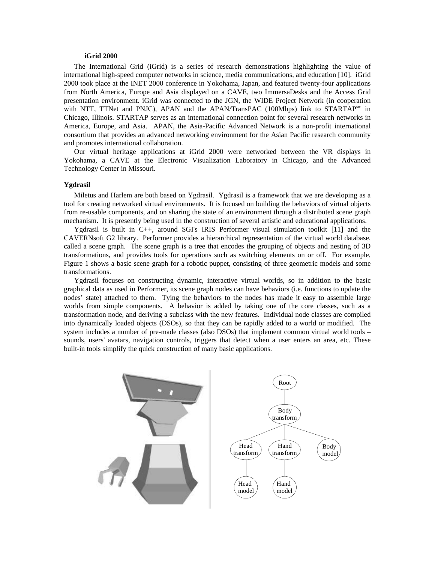#### **iGrid 2000**

The International Grid (iGrid) is a series of research demonstrations highlighting the value of international high-speed computer networks in science, media communications, and education [10]. iGrid 2000 took place at the INET 2000 conference in Yokohama, Japan, and featured twenty-four applications from North America, Europe and Asia displayed on a CAVE, two ImmersaDesks and the Access Grid presentation environment. iGrid was connected to the JGN, the WIDE Project Network (in cooperation with NTT, TTNet and PNJC), APAN and the APAN/TransPAC  $(100Mbps)$  link to STARTAP<sup>sm</sup> in Chicago, Illinois. STARTAP serves as an international connection point for several research networks in America, Europe, and Asia. APAN, the Asia-Pacific Advanced Network is a non-profit international consortium that provides an advanced networking environment for the Asian Pacific research community and promotes international collaboration.

Our virtual heritage applications at iGrid 2000 were networked between the VR displays in Yokohama, a CAVE at the Electronic Visualization Laboratory in Chicago, and the Advanced Technology Center in Missouri.

## **Ygdrasil**

Miletus and Harlem are both based on Ygdrasil. Ygdrasil is a framework that we are developing as a tool for creating networked virtual environments. It is focused on building the behaviors of virtual objects from re-usable components, and on sharing the state of an environment through a distributed scene graph mechanism. It is presently being used in the construction of several artistic and educational applications.

Ygdrasil is built in C++, around SGI's IRIS Performer visual simulation toolkit [11] and the CAVERNsoft G2 library. Performer provides a hierarchical representation of the virtual world database, called a scene graph. The scene graph is a tree that encodes the grouping of objects and nesting of 3D transformations, and provides tools for operations such as switching elements on or off. For example, Figure 1 shows a basic scene graph for a robotic puppet, consisting of three geometric models and some transformations.

Ygdrasil focuses on constructing dynamic, interactive virtual worlds, so in addition to the basic graphical data as used in Performer, its scene graph nodes can have behaviors (i.e. functions to update the nodes' state) attached to them. Tying the behaviors to the nodes has made it easy to assemble large worlds from simple components. A behavior is added by taking one of the core classes, such as a transformation node, and deriving a subclass with the new features. Individual node classes are compiled into dynamically loaded objects (DSOs), so that they can be rapidly added to a world or modified. The system includes a number of pre-made classes (also DSOs) that implement common virtual world tools – sounds, users' avatars, navigation controls, triggers that detect when a user enters an area, etc. These built-in tools simplify the quick construction of many basic applications.

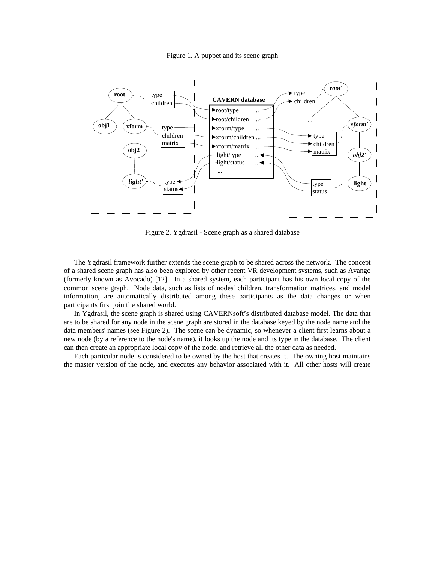### Figure 1. A puppet and its scene graph



Figure 2. Ygdrasil - Scene graph as a shared database

The Ygdrasil framework further extends the scene graph to be shared across the network. The concept of a shared scene graph has also been explored by other recent VR development systems, such as Avango (formerly known as Avocado) [12]. In a shared system, each participant has his own local copy of the common scene graph. Node data, such as lists of nodes' children, transformation matrices, and model information, are automatically distributed among these participants as the data changes or when participants first join the shared world.

In Ygdrasil, the scene graph is shared using CAVERNsoft's distributed database model. The data that are to be shared for any node in the scene graph are stored in the database keyed by the node name and the data members' names (see Figure 2). The scene can be dynamic, so whenever a client first learns about a new node (by a reference to the node's name), it looks up the node and its type in the database. The client can then create an appropriate local copy of the node, and retrieve all the other data as needed.

Each particular node is considered to be owned by the host that creates it. The owning host maintains the master version of the node, and executes any behavior associated with it. All other hosts will create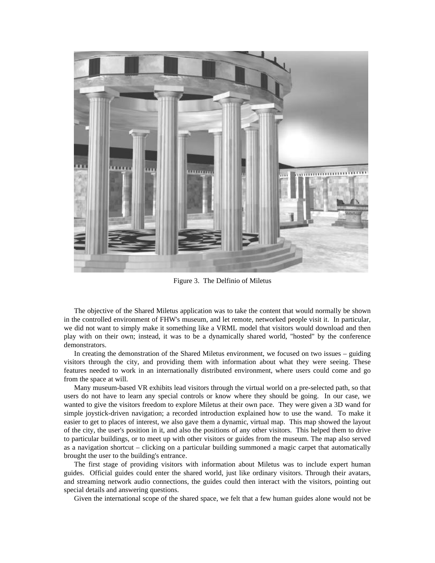

Figure 3. The Delfinio of Miletus

The objective of the Shared Miletus application was to take the content that would normally be shown in the controlled environment of FHW's museum, and let remote, networked people visit it. In particular, we did not want to simply make it something like a VRML model that visitors would download and then play with on their own; instead, it was to be a dynamically shared world, "hosted" by the conference demonstrators.

In creating the demonstration of the Shared Miletus environment, we focused on two issues – guiding visitors through the city, and providing them with information about what they were seeing. These features needed to work in an internationally distributed environment, where users could come and go from the space at will.

Many museum-based VR exhibits lead visitors through the virtual world on a pre-selected path, so that users do not have to learn any special controls or know where they should be going. In our case, we wanted to give the visitors freedom to explore Miletus at their own pace. They were given a 3D wand for simple joystick-driven navigation; a recorded introduction explained how to use the wand. To make it easier to get to places of interest, we also gave them a dynamic, virtual map. This map showed the layout of the city, the user's position in it, and also the positions of any other visitors. This helped them to drive to particular buildings, or to meet up with other visitors or guides from the museum. The map also served as a navigation shortcut – clicking on a particular building summoned a magic carpet that automatically brought the user to the building's entrance.

The first stage of providing visitors with information about Miletus was to include expert human guides. Official guides could enter the shared world, just like ordinary visitors. Through their avatars, and streaming network audio connections, the guides could then interact with the visitors, pointing out special details and answering questions.

Given the international scope of the shared space, we felt that a few human guides alone would not be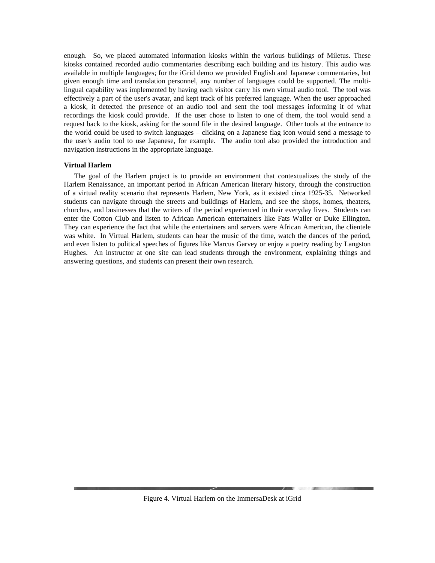enough. So, we placed automated information kiosks within the various buildings of Miletus. These kiosks contained recorded audio commentaries describing each building and its history. This audio was available in multiple languages; for the iGrid demo we provided English and Japanese commentaries, but given enough time and translation personnel, any number of languages could be supported. The multilingual capability was implemented by having each visitor carry his own virtual audio tool. The tool was effectively a part of the user's avatar, and kept track of his preferred language. When the user approached a kiosk, it detected the presence of an audio tool and sent the tool messages informing it of what recordings the kiosk could provide. If the user chose to listen to one of them, the tool would send a request back to the kiosk, asking for the sound file in the desired language. Other tools at the entrance to the world could be used to switch languages – clicking on a Japanese flag icon would send a message to the user's audio tool to use Japanese, for example. The audio tool also provided the introduction and navigation instructions in the appropriate language.

## **Virtual Harlem**

The goal of the Harlem project is to provide an environment that contextualizes the study of the Harlem Renaissance, an important period in African American literary history, through the construction of a virtual reality scenario that represents Harlem, New York, as it existed circa 1925-35. Networked students can navigate through the streets and buildings of Harlem, and see the shops, homes, theaters, churches, and businesses that the writers of the period experienced in their everyday lives. Students can enter the Cotton Club and listen to African American entertainers like Fats Waller or Duke Ellington. They can experience the fact that while the entertainers and servers were African American, the clientele was white. In Virtual Harlem, students can hear the music of the time, watch the dances of the period, and even listen to political speeches of figures like Marcus Garvey or enjoy a poetry reading by Langston Hughes. An instructor at one site can lead students through the environment, explaining things and answering questions, and students can present their own research.



Figure 4. Virtual Harlem on the ImmersaDesk at iGrid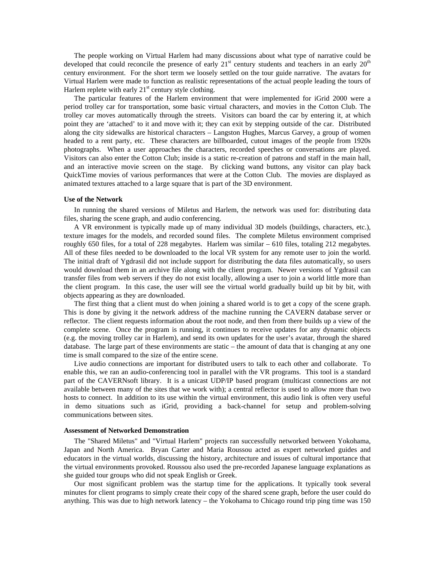The people working on Virtual Harlem had many discussions about what type of narrative could be developed that could reconcile the presence of early  $21<sup>st</sup>$  century students and teachers in an early  $20<sup>th</sup>$ century environment. For the short term we loosely settled on the tour guide narrative. The avatars for Virtual Harlem were made to function as realistic representations of the actual people leading the tours of Harlem replete with early  $21<sup>st</sup>$  century style clothing.

The particular features of the Harlem environment that were implemented for iGrid 2000 were a period trolley car for transportation, some basic virtual characters, and movies in the Cotton Club. The trolley car moves automatically through the streets. Visitors can board the car by entering it, at which point they are 'attached' to it and move with it; they can exit by stepping outside of the car. Distributed along the city sidewalks are historical characters – Langston Hughes, Marcus Garvey, a group of women headed to a rent party, etc. These characters are billboarded, cutout images of the people from 1920s photographs. When a user approaches the characters, recorded speeches or conversations are played. Visitors can also enter the Cotton Club; inside is a static re-creation of patrons and staff in the main hall, and an interactive movie screen on the stage. By clicking wand buttons, any visitor can play back QuickTime movies of various performances that were at the Cotton Club. The movies are displayed as animated textures attached to a large square that is part of the 3D environment.

### **Use of the Network**

In running the shared versions of Miletus and Harlem, the network was used for: distributing data files, sharing the scene graph, and audio conferencing.

A VR environment is typically made up of many individual 3D models (buildings, characters, etc.), texture images for the models, and recorded sound files. The complete Miletus environment comprised roughly 650 files, for a total of 228 megabytes. Harlem was similar – 610 files, totaling 212 megabytes. All of these files needed to be downloaded to the local VR system for any remote user to join the world. The initial draft of Ygdrasil did not include support for distributing the data files automatically, so users would download them in an archive file along with the client program. Newer versions of Ygdrasil can transfer files from web servers if they do not exist locally, allowing a user to join a world little more than the client program. In this case, the user will see the virtual world gradually build up bit by bit, with objects appearing as they are downloaded.

The first thing that a client must do when joining a shared world is to get a copy of the scene graph. This is done by giving it the network address of the machine running the CAVERN database server or reflector. The client requests information about the root node, and then from there builds up a view of the complete scene. Once the program is running, it continues to receive updates for any dynamic objects (e.g. the moving trolley car in Harlem), and send its own updates for the user's avatar, through the shared database. The large part of these environments are static – the amount of data that is changing at any one time is small compared to the size of the entire scene.

Live audio connections are important for distributed users to talk to each other and collaborate. To enable this, we ran an audio-conferencing tool in parallel with the VR programs. This tool is a standard part of the CAVERNsoft library. It is a unicast UDP/IP based program (multicast connections are not available between many of the sites that we work with); a central reflector is used to allow more than two hosts to connect. In addition to its use within the virtual environment, this audio link is often very useful in demo situations such as iGrid, providing a back-channel for setup and problem-solving communications between sites.

#### **Assessment of Networked Demonstration**

The "Shared Miletus" and "Virtual Harlem" projects ran successfully networked between Yokohama, Japan and North America. Bryan Carter and Maria Roussou acted as expert networked guides and educators in the virtual worlds, discussing the history, architecture and issues of cultural importance that the virtual environments provoked. Roussou also used the pre-recorded Japanese language explanations as she guided tour groups who did not speak English or Greek.

Our most significant problem was the startup time for the applications. It typically took several minutes for client programs to simply create their copy of the shared scene graph, before the user could do anything. This was due to high network latency – the Yokohama to Chicago round trip ping time was 150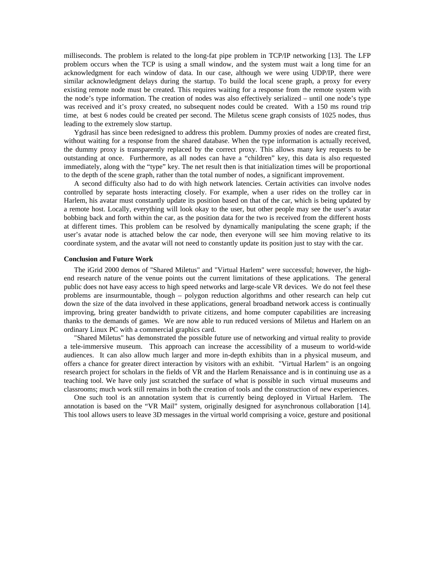milliseconds. The problem is related to the long-fat pipe problem in TCP/IP networking [13]. The LFP problem occurs when the TCP is using a small window, and the system must wait a long time for an acknowledgment for each window of data. In our case, although we were using UDP/IP, there were similar acknowledgment delays during the startup. To build the local scene graph, a proxy for every existing remote node must be created. This requires waiting for a response from the remote system with the node's type information. The creation of nodes was also effectively serialized – until one node's type was received and it's proxy created, no subsequent nodes could be created. With a 150 ms round trip time, at best 6 nodes could be created per second. The Miletus scene graph consists of 1025 nodes, thus leading to the extremely slow startup.

Ygdrasil has since been redesigned to address this problem. Dummy proxies of nodes are created first, without waiting for a response from the shared database. When the type information is actually received, the dummy proxy is transparently replaced by the correct proxy. This allows many key requests to be outstanding at once. Furthermore, as all nodes can have a "children" key, this data is also requested immediately, along with the "type" key. The net result then is that initialization times will be proportional to the depth of the scene graph, rather than the total number of nodes, a significant improvement.

A second difficulty also had to do with high network latencies. Certain activities can involve nodes controlled by separate hosts interacting closely. For example, when a user rides on the trolley car in Harlem, his avatar must constantly update its position based on that of the car, which is being updated by a remote host. Locally, everything will look okay to the user, but other people may see the user's avatar bobbing back and forth within the car, as the position data for the two is received from the different hosts at different times. This problem can be resolved by dynamically manipulating the scene graph; if the user's avatar node is attached below the car node, then everyone will see him moving relative to its coordinate system, and the avatar will not need to constantly update its position just to stay with the car.

#### **Conclusion and Future Work**

The iGrid 2000 demos of "Shared Miletus" and "Virtual Harlem" were successful; however, the highend research nature of the venue points out the current limitations of these applications. The general public does not have easy access to high speed networks and large-scale VR devices. We do not feel these problems are insurmountable, though – polygon reduction algorithms and other research can help cut down the size of the data involved in these applications, general broadband network access is continually improving, bring greater bandwidth to private citizens, and home computer capabilities are increasing thanks to the demands of games. We are now able to run reduced versions of Miletus and Harlem on an ordinary Linux PC with a commercial graphics card.

"Shared Miletus" has demonstrated the possible future use of networking and virtual reality to provide a tele-immersive museum. This approach can increase the accessibility of a museum to world-wide audiences. It can also allow much larger and more in-depth exhibits than in a physical museum, and offers a chance for greater direct interaction by visitors with an exhibit. "Virtual Harlem" is an ongoing research project for scholars in the fields of VR and the Harlem Renaissance and is in continuing use as a teaching tool. We have only just scratched the surface of what is possible in such virtual museums and classrooms; much work still remains in both the creation of tools and the construction of new experiences.

One such tool is an annotation system that is currently being deployed in Virtual Harlem. The annotation is based on the "VR Mail" system, originally designed for asynchronous collaboration [14]. This tool allows users to leave 3D messages in the virtual world comprising a voice, gesture and positional